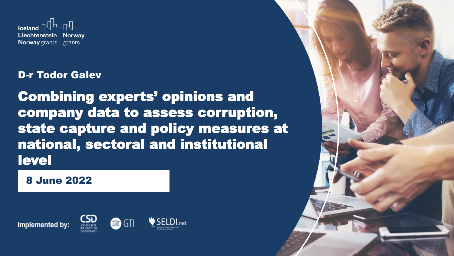

### D-r Todor Galev

Combining experts' opinions and company data to assess corruption, state capture and policy measures at national, sectoral and institutional level

**8 June 2022** 



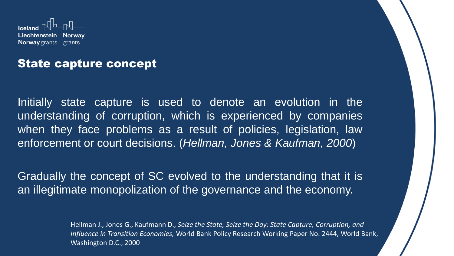

## State capture concept

Initially state capture is used to denote an evolution in the understanding of corruption, which is experienced by companies when they face problems as a result of policies, legislation, law enforcement or court decisions. (*Hellman, Jones & Kaufman, 2000*)

Gradually the concept of SC evolved to the understanding that it is an illegitimate monopolization of the governance and the economy.

> Hellman J., Jones G., Kaufmann D., *Seize the State, Seize the Day: State Capture, Corruption, and Influence in Transition Economies,* World Bank Policy Research Working Paper No. 2444, World Bank, Washington D.C., 2000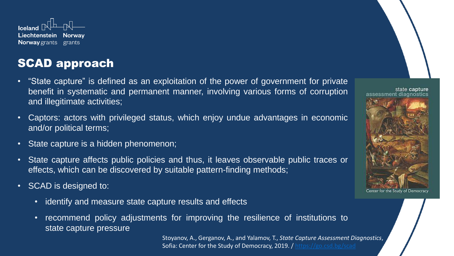

## SCAD approach

- "State capture" is defined as an exploitation of the power of government for private benefit in systematic and permanent manner, involving various forms of corruption and illegitimate activities;
- Captors: actors with privileged status, which enjoy undue advantages in economic and/or political terms;
- State capture is a hidden phenomenon;
- State capture affects public policies and thus, it leaves observable public traces or effects, which can be discovered by suitable pattern-finding methods;
- SCAD is designed to:
	- identify and measure state capture results and effects
	- recommend policy adjustments for improving the resilience of institutions to state capture pressure

Stoyanov, A., Gerganov, A., and Yalamov, T., *State Capture Assessment Diagnostics*, Sofia: Center for the Study of Democracy, 2019. /<https://go.csd.bg/scad>

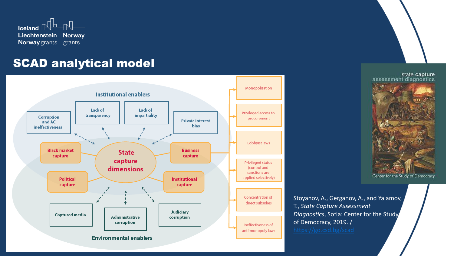

## SCAD analytical model



state capture assessment diagnostics

Center for the Study of Democracy

Stoyanov, A., Gerganov, A., and Yalamov, T., *State Capture Assessment Diagnostics*, Sofia: Center for the Study of Democracy, 2019. /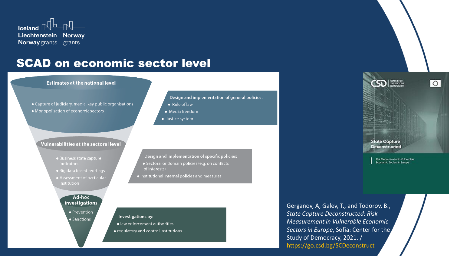

## SCAD on economic sector level

#### **Estimates at the national level**

• Capture of judiciary, media, key public organisations • Monopolisation of economic sectors

#### **Vulnerabilities at the sectoral level**

- Business state capture indicators
- Big data based red-flags
- Assessment of particular institution

#### Ad-hoc **investigations**

• Prevention • Sanctions

#### Design and implementation of general policies:

- $\bullet$  Rule of law
- Media freedom
- Justice system

Design and implementation of specific policies: · Sectoral or domain policies (e.g. on conflicts of interests)

· Institutional internal policies and measures

#### Investigations by: · law enforcement authorities

• regulatory and control institutions

Gerganov, A, Galev, T., and Todorov, B., *State Capture Deconstructed: Risk Measurement in Vulnerable Economic Sectors in Europe*, Sofia: Center for the Study of Democracy, 2021. / https://go.csd.bg/SCDeconstruct



Risk Measurement in Vulnerable Economic Sectors in Europe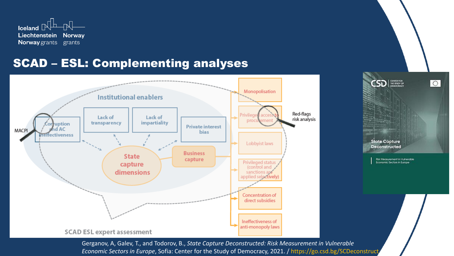

## SCAD – ESL: Complementing analyses



 $\mathsf{CSD}$   $\mathbb{R}$ ा **State Capture Deconstructed** Risk Measurement in Vulnerable Economic Sectors in Europe

Gerganov, A, Galev, T., and Todorov, B., *State Capture Deconstructed: Risk Measurement in Vulnerable Economic Sectors in Europe*, Sofia: Center for the Study of Democracy, 2021. / https://go.csd.bg/SCDeconstruct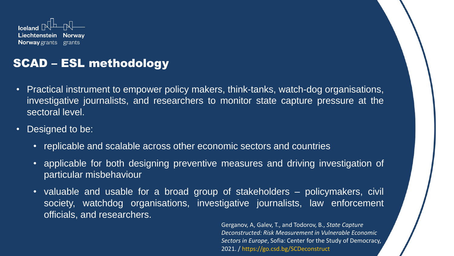

## SCAD – ESL methodology

- Practical instrument to empower policy makers, think-tanks, watch-dog organisations, investigative journalists, and researchers to monitor state capture pressure at the sectoral level.
- Designed to be:
	- replicable and scalable across other economic sectors and countries
	- applicable for both designing preventive measures and driving investigation of particular misbehaviour
	- valuable and usable for a broad group of stakeholders policymakers, civil society, watchdog organisations, investigative journalists, law enforcement officials, and researchers.

Gerganov, A, Galev, T., and Todorov, B., *State Capture Deconstructed: Risk Measurement in Vulnerable Economic Sectors in Europe*, Sofia: Center for the Study of Democracy, 2021. / https://go.csd.bg/SCDeconstruct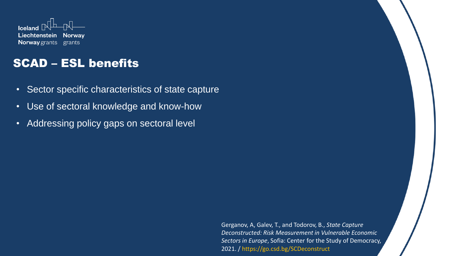

## SCAD – ESL benefits

- Sector specific characteristics of state capture
- Use of sectoral knowledge and know-how
- Addressing policy gaps on sectoral level

Gerganov, A, Galev, T., and Todorov, B., *State Capture Deconstructed: Risk Measurement in Vulnerable Economic Sectors in Europe*, Sofia: Center for the Study of Democracy, 2021. / https://go.csd.bg/SCDeconstruct